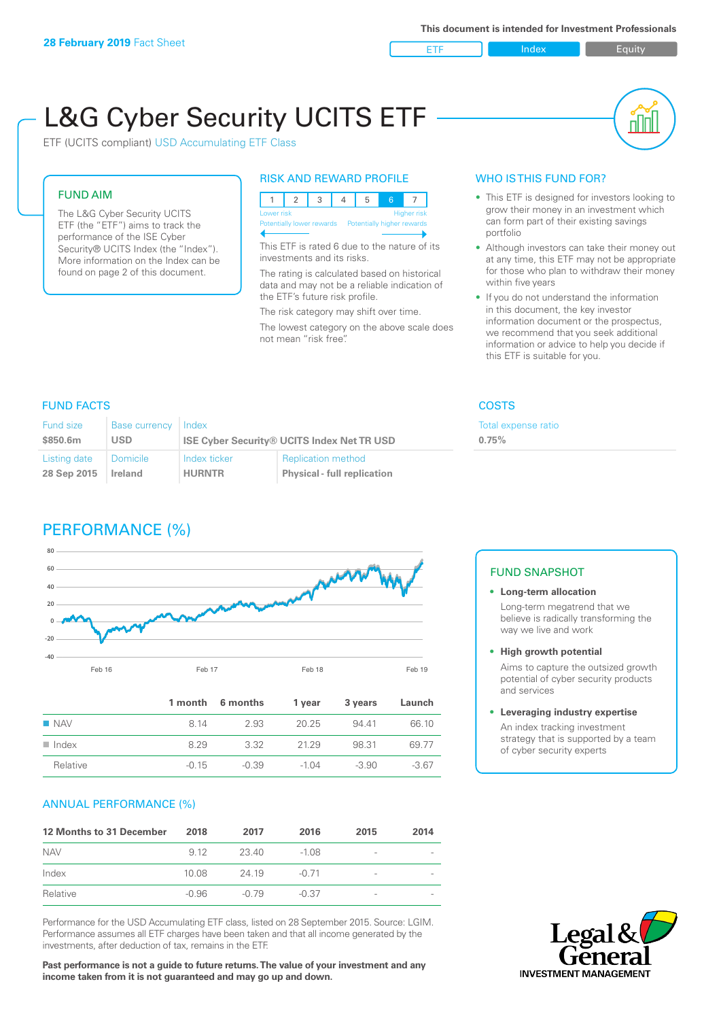ETF Index Buity

nl M

# L&G Cyber Security UCITS ETF

ETF (UCITS compliant) USD Accumulating ETF Class

#### FUND AIM

The L&G Cyber Security UCITS ETF (the "ETF") aims to track the performance of the ISE Cyber Security® UCITS Index (the "Index"). More information on the Index can be found on page 2 of this document.

#### RISK AND REWARD PROFILE

| Lower risk<br>Higher risk |  |  |  |                                                      |  |  |  |  |
|---------------------------|--|--|--|------------------------------------------------------|--|--|--|--|
|                           |  |  |  | Potentially lower rewards Potentially higher rewards |  |  |  |  |
|                           |  |  |  |                                                      |  |  |  |  |

This ETF is rated 6 due to the nature of its investments and its risks.

The rating is calculated based on historical data and may not be a reliable indication of the ETF's future risk profile.

The risk category may shift over time. The lowest category on the above scale does not mean "risk free".

#### WHO IS THIS FUND FOR?

- This ETF is designed for investors looking to grow their money in an investment which can form part of their existing savings portfolio
- Although investors can take their money out at any time, this ETF may not be appropriate for those who plan to withdraw their money within five years
- If you do not understand the information in this document, the key investor information document or the prospectus, we recommend that you seek additional information or advice to help you decide if this ETF is suitable for you.

**0.75%**

Total expense ratio

### FUND FACTS COSTS

| Fund size<br>\$850.6m | <b>Base currency</b><br>USD | Index         | <b>ISE Cyber Security® UCITS Index Net TR USD</b> |
|-----------------------|-----------------------------|---------------|---------------------------------------------------|
| Listing date          | <b>Domicile</b>             | Index ticker  | <b>Replication method</b>                         |
| 28 Sep 2015           | Ireland                     | <b>HURNTR</b> | <b>Physical - full replication</b>                |

# PERFORMANCE (%)



|                      |         | 1 month 6 months | 1 year | 3 years | Launch  |
|----------------------|---------|------------------|--------|---------|---------|
| $\blacksquare$ NAV   | 8 14    | 2.93             | 20.25  | 94 41   | 66.10   |
| $\blacksquare$ Index | 8 29    | 332              | 2129   | 98.31   | 69 77   |
| Relative             | $-0.15$ | $-0.39$          | -1 04  | $-3.90$ | $-3.67$ |

#### ANNUAL PERFORMANCE (%)

| 12 Months to 31 December | 2018  | 2017    | 2016    | 2015                     | 2014 |
|--------------------------|-------|---------|---------|--------------------------|------|
| <b>NAV</b>               | 9 1 2 | 23.40   | $-1.08$ | -                        |      |
| Index                    | 10.08 | 24 19   | $-0.71$ | $\overline{\phantom{a}}$ |      |
| Relative                 | -0.96 | $-0.79$ | $-0.37$ | $\overline{\phantom{a}}$ |      |

Performance for the USD Accumulating ETF class, listed on 28 September 2015. Source: LGIM. Performance assumes all ETF charges have been taken and that all income generated by the investments, after deduction of tax, remains in the ETF.

**Past performance is not a guide to future returns. The value of your investment and any income taken from it is not guaranteed and may go up and down.**

#### FUND SNAPSHOT

- **• Long-term allocation** Long-term megatrend that we believe is radically transforming the way we live and work
- **• High growth potential**

Aims to capture the outsized growth potential of cyber security products and services

#### **• Leveraging industry expertise**

An index tracking investment strategy that is supported by a team of cyber security experts

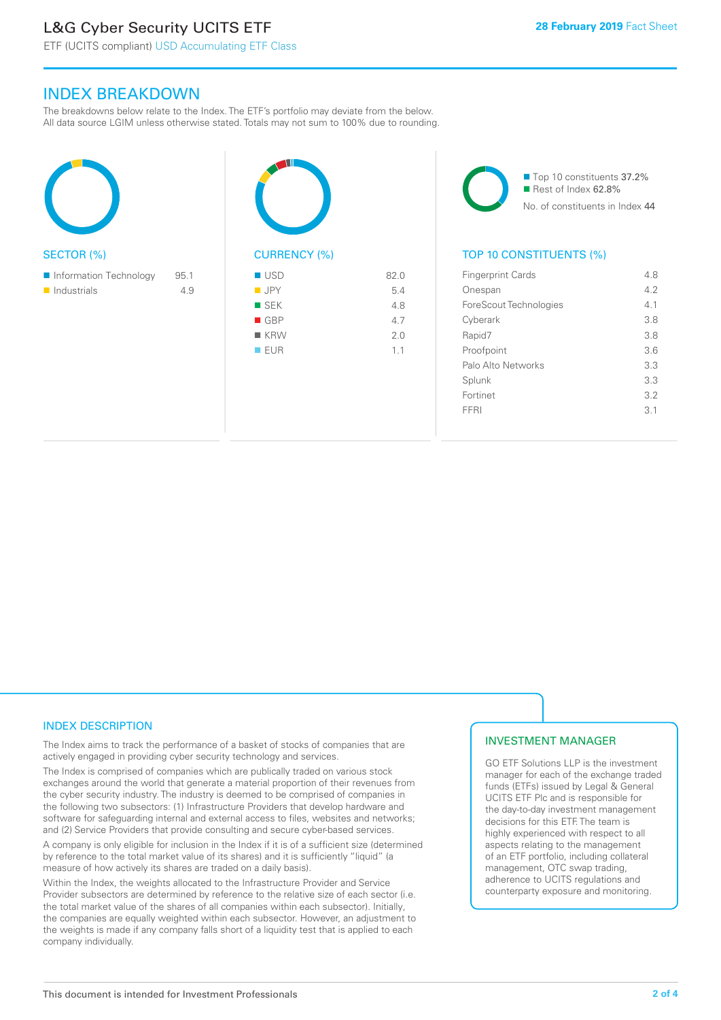# L&G Cyber Security UCITS ETF

ETF (UCITS compliant) USD Accumulating ETF Class

#### INDEX BREAKDOWN

The breakdowns below relate to the Index. The ETF's portfolio may deviate from the below. All data source LGIM unless otherwise stated. Totals may not sum to 100% due to rounding.

| <b>SECTOR (%)</b>                     |             | CU                                         |
|---------------------------------------|-------------|--------------------------------------------|
| Information Technology<br>Industrials | 95.1<br>4.9 | $\cup$<br>J<br>S<br>C<br>$\mathsf{k}$<br>E |
|                                       |             |                                            |



■ Top 10 constituents 37.2% Rest of Index 62.8% No. of constituents in Index 44

#### TOP 10 CONSTITUENTS (%)

| <b>Fingerprint Cards</b> | 48  |
|--------------------------|-----|
| Onespan                  | 42  |
| ForeScout Technologies   | 41  |
| Cyberark                 | 3.8 |
| Rapid7                   | 3.8 |
| Proofpoint               | 3.6 |
| Palo Alto Networks       | 3.3 |
| Splunk                   | 3.3 |
| Fortinet                 | 32  |
| FFRI                     | 3.1 |
|                          |     |

#### INDEX DESCRIPTION

The Index aims to track the performance of a basket of stocks of companies that are actively engaged in providing cyber security technology and services.

The Index is comprised of companies which are publically traded on various stock exchanges around the world that generate a material proportion of their revenues from the cyber security industry. The industry is deemed to be comprised of companies in the following two subsectors: (1) Infrastructure Providers that develop hardware and software for safeguarding internal and external access to files, websites and networks; and (2) Service Providers that provide consulting and secure cyber-based services.

A company is only eligible for inclusion in the Index if it is of a sufficient size (determined by reference to the total market value of its shares) and it is sufficiently "liquid" (a measure of how actively its shares are traded on a daily basis).

Within the Index, the weights allocated to the Infrastructure Provider and Service Provider subsectors are determined by reference to the relative size of each sector (i.e. the total market value of the shares of all companies within each subsector). Initially, the companies are equally weighted within each subsector. However, an adjustment to the weights is made if any company falls short of a liquidity test that is applied to each company individually.

#### INVESTMENT MANAGER

GO ETF Solutions LLP is the investment manager for each of the exchange traded funds (ETFs) issued by Legal & General UCITS ETF Plc and is responsible for the day-to-day investment management decisions for this ETF. The team is highly experienced with respect to all aspects relating to the management of an ETF portfolio, including collateral management, OTC swap trading, adherence to UCITS regulations and counterparty exposure and monitoring.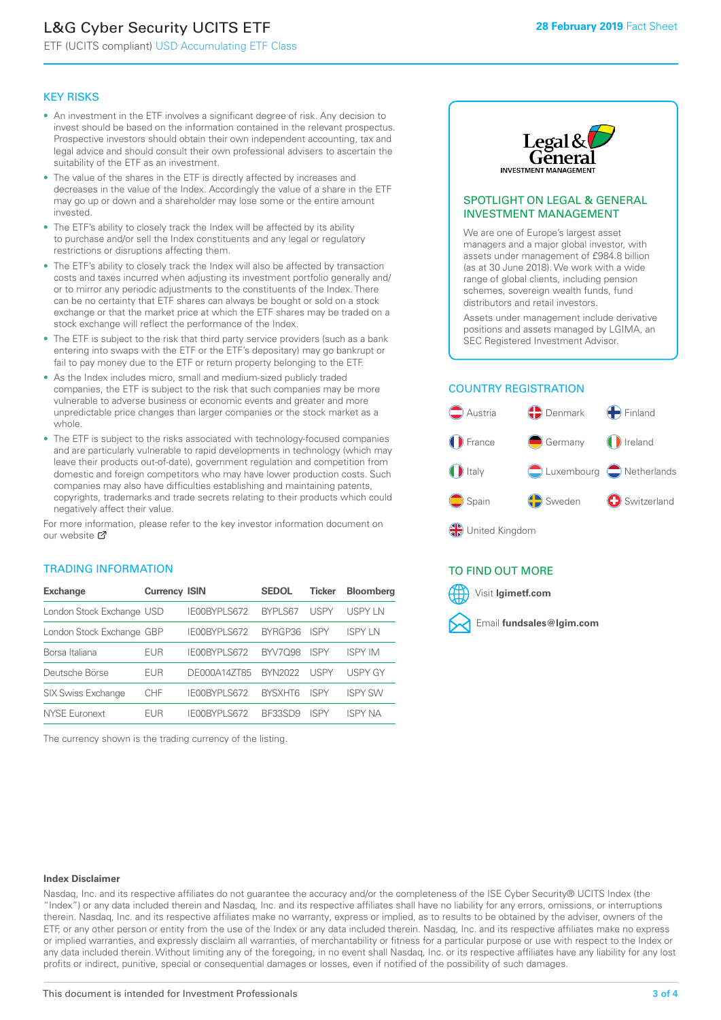# L&G Cyber Security UCITS ETF

ETF (UCITS compliant) USD Accumulating ETF Class

#### KEY RISKS

- An investment in the ETF involves a significant degree of risk. Any decision to invest should be based on the information contained in the relevant prospectus. Prospective investors should obtain their own independent accounting, tax and legal advice and should consult their own professional advisers to ascertain the suitability of the ETF as an investment.
- The value of the shares in the ETF is directly affected by increases and decreases in the value of the Index. Accordingly the value of a share in the ETF may go up or down and a shareholder may lose some or the entire amount invested.
- The ETF's ability to closely track the Index will be affected by its ability to purchase and/or sell the Index constituents and any legal or regulatory restrictions or disruptions affecting them.
- The ETF's ability to closely track the Index will also be affected by transaction costs and taxes incurred when adjusting its investment portfolio generally and/ or to mirror any periodic adjustments to the constituents of the Index. There can be no certainty that ETF shares can always be bought or sold on a stock exchange or that the market price at which the ETF shares may be traded on a stock exchange will reflect the performance of the Index.
- The ETF is subject to the risk that third party service providers (such as a bank entering into swaps with the ETF or the ETF's depositary) may go bankrupt or fail to pay money due to the ETF or return property belonging to the ETF.
- As the Index includes micro, small and medium-sized publicly traded companies, the ETF is subject to the risk that such companies may be more vulnerable to adverse business or economic events and greater and more unpredictable price changes than larger companies or the stock market as a whole.
- The ETF is subject to the risks associated with technology-focused companies and are particularly vulnerable to rapid developments in technology (which may leave their products out-of-date), government regulation and competition from domestic and foreign competitors who may have lower production costs. Such companies may also have difficulties establishing and maintaining patents, copyrights, trademarks and trade secrets relating to their products which could negatively affect their value.

For more information, please refer to the key investor information document on our website M

#### TRADING INFORMATION

| <b>Exchange</b>           | <b>Currency ISIN</b> |                     | <b>SEDOL</b>   | <b>Ticker</b> | <b>Bloomberg</b> |
|---------------------------|----------------------|---------------------|----------------|---------------|------------------|
| London Stock Exchange USD |                      | IE00BYPLS672        | BYPLS67        | <b>USPY</b>   | USPY IN          |
| London Stock Exchange GBP |                      | IE00BYPLS672        | BYRGP36        | <b>ISPY</b>   | <b>ISPY IN</b>   |
| Borsa Italiana            | EUR                  | <b>IFOORYPLS672</b> | <b>BYV7098</b> | <b>ISPY</b>   | <b>ISPY IM</b>   |
| Deutsche Börse            | EUR                  | DE000A14ZT85        | <b>BYN2022</b> | <b>USPY</b>   | <b>USPY GY</b>   |
| <b>SIX Swiss Exchange</b> | <b>CHF</b>           | IE00BYPLS672        | <b>RYSXHT6</b> | <b>ISPY</b>   | <b>ISPY SW</b>   |
| NYSE Euronext             | FUR                  | IF00BYPLS672        | BE33SD9        | ISPY          | ISPY NA          |

The currency shown is the trading currency of the listing.



#### SPOTLIGHT ON LEGAL & GENERAL INVESTMENT MANAGEMENT

We are one of Europe's largest asset managers and a major global investor, with assets under management of £984.8 billion (as at 30 June 2018). We work with a wide range of global clients, including pension schemes, sovereign wealth funds, fund distributors and retail investors.

Assets under management include derivative positions and assets managed by LGIMA, an SEC Registered Investment Advisor.

#### COUNTRY REGISTRATION



#### TO FIND OUT MORE

Visit **lgimetf.com**



#### **Index Disclaimer**

Nasdaq, Inc. and its respective affiliates do not guarantee the accuracy and/or the completeness of the ISE Cyber Security® UCITS Index (the "Index") or any data included therein and Nasdaq, Inc. and its respective affiliates shall have no liability for any errors, omissions, or interruptions therein. Nasdaq, Inc. and its respective affiliates make no warranty, express or implied, as to results to be obtained by the adviser, owners of the ETF, or any other person or entity from the use of the Index or any data included therein. Nasdaq, Inc. and its respective affiliates make no express or implied warranties, and expressly disclaim all warranties, of merchantability or fitness for a particular purpose or use with respect to the Index or any data included therein. Without limiting any of the foregoing, in no event shall Nasdaq, Inc. or its respective affiliates have any liability for any lost profits or indirect, punitive, special or consequential damages or losses, even if notified of the possibility of such damages.